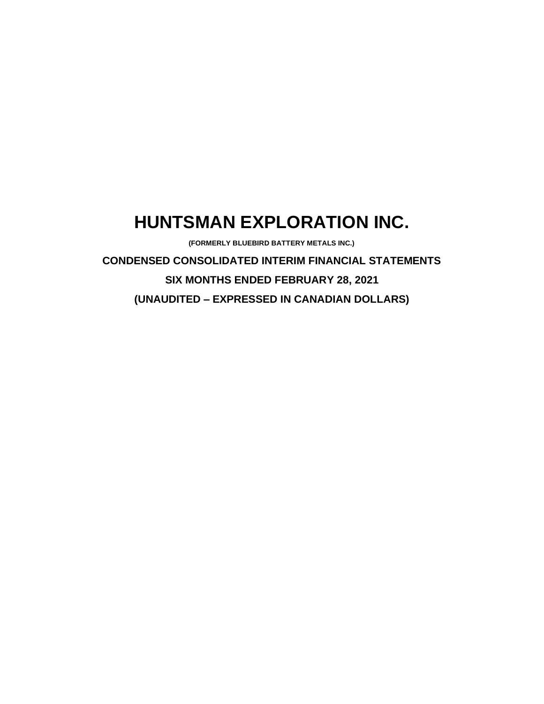# **HUNTSMAN EXPLORATION INC.**

**(FORMERLY BLUEBIRD BATTERY METALS INC.)**

**CONDENSED CONSOLIDATED INTERIM FINANCIAL STATEMENTS SIX MONTHS ENDED FEBRUARY 28, 2021 (UNAUDITED – EXPRESSED IN CANADIAN DOLLARS)**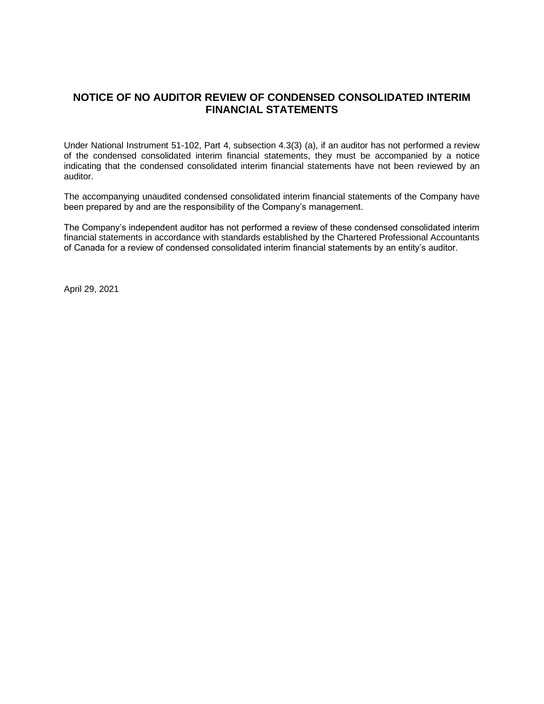# **NOTICE OF NO AUDITOR REVIEW OF CONDENSED CONSOLIDATED INTERIM FINANCIAL STATEMENTS**

Under National Instrument 51-102, Part 4, subsection 4.3(3) (a), if an auditor has not performed a review of the condensed consolidated interim financial statements, they must be accompanied by a notice indicating that the condensed consolidated interim financial statements have not been reviewed by an auditor.

The accompanying unaudited condensed consolidated interim financial statements of the Company have been prepared by and are the responsibility of the Company's management.

The Company's independent auditor has not performed a review of these condensed consolidated interim financial statements in accordance with standards established by the Chartered Professional Accountants of Canada for a review of condensed consolidated interim financial statements by an entity's auditor.

April 29, 2021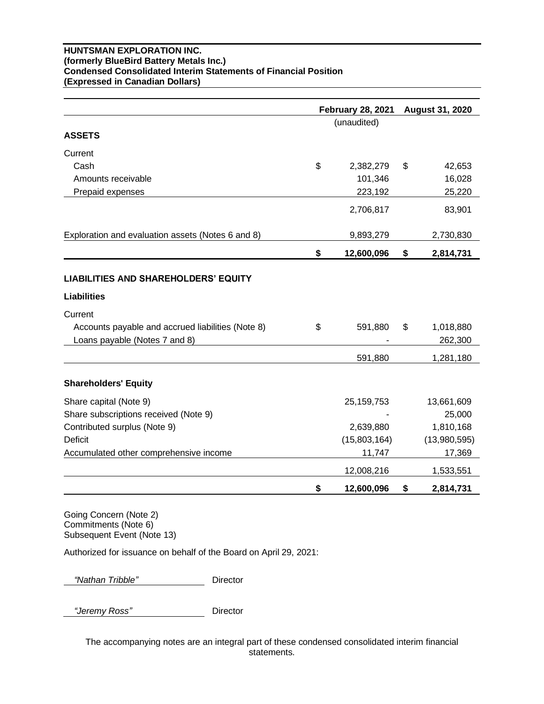## **HUNTSMAN EXPLORATION INC. (formerly BlueBird Battery Metals Inc.) Condensed Consolidated Interim Statements of Financial Position (Expressed in Canadian Dollars)**

|                                                   | <b>February 28, 2021</b> | <b>August 31, 2020</b> |              |  |
|---------------------------------------------------|--------------------------|------------------------|--------------|--|
|                                                   | (unaudited)              |                        |              |  |
| <b>ASSETS</b>                                     |                          |                        |              |  |
| Current                                           |                          |                        |              |  |
| Cash                                              | \$<br>2,382,279          | \$                     | 42,653       |  |
| Amounts receivable                                | 101,346                  |                        | 16,028       |  |
| Prepaid expenses                                  | 223,192                  |                        | 25,220       |  |
|                                                   | 2,706,817                |                        | 83,901       |  |
| Exploration and evaluation assets (Notes 6 and 8) | 9,893,279                |                        | 2,730,830    |  |
|                                                   | \$<br>12,600,096         | \$                     | 2,814,731    |  |
| <b>LIABILITIES AND SHAREHOLDERS' EQUITY</b>       |                          |                        |              |  |
| <b>Liabilities</b>                                |                          |                        |              |  |
| Current                                           |                          |                        |              |  |
| Accounts payable and accrued liabilities (Note 8) | \$<br>591,880            | \$                     | 1,018,880    |  |
| Loans payable (Notes 7 and 8)                     |                          |                        | 262,300      |  |
|                                                   | 591,880                  |                        | 1,281,180    |  |
| <b>Shareholders' Equity</b>                       |                          |                        |              |  |
| Share capital (Note 9)                            | 25, 159, 753             |                        | 13,661,609   |  |
| Share subscriptions received (Note 9)             |                          |                        | 25,000       |  |
| Contributed surplus (Note 9)                      | 2,639,880                |                        | 1,810,168    |  |
| <b>Deficit</b>                                    | (15,803,164)             |                        | (13,980,595) |  |
| Accumulated other comprehensive income            | 11,747                   |                        | 17,369       |  |
|                                                   | 12,008,216               |                        | 1,533,551    |  |
|                                                   | \$<br>12,600,096         | \$                     | 2,814,731    |  |

Going Concern (Note 2) Commitments (Note 6) Subsequent Event (Note 13)

Authorized for issuance on behalf of the Board on April 29, 2021:

 *"Nathan Tribble"* Director

 *"Jeremy Ross"* Director

The accompanying notes are an integral part of these condensed consolidated interim financial statements.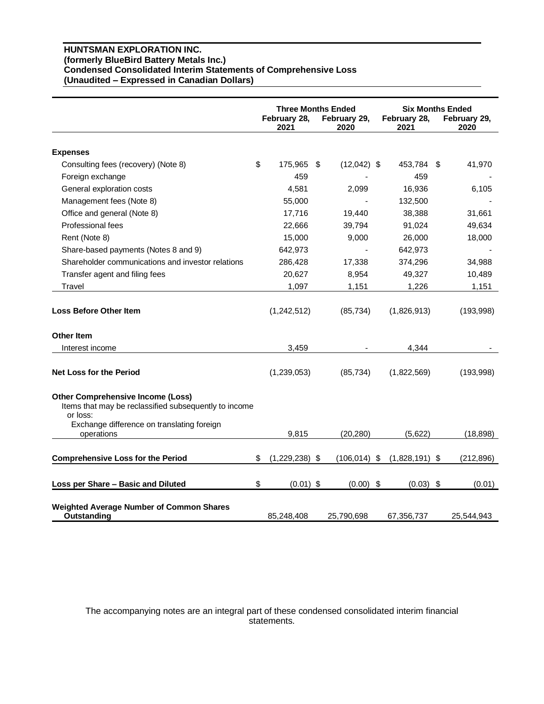## **HUNTSMAN EXPLORATION INC. (formerly BlueBird Battery Metals Inc.) Condensed Consolidated Interim Statements of Comprehensive Loss (Unaudited – Expressed in Canadian Dollars)**

|                                                                                                                                                             | <b>Three Months Ended</b><br>February 28,<br>February 29,<br>2021<br>2020 |                  | February 28,<br>2021 | <b>Six Months Ended</b><br>February 29,<br>2020 |  |            |
|-------------------------------------------------------------------------------------------------------------------------------------------------------------|---------------------------------------------------------------------------|------------------|----------------------|-------------------------------------------------|--|------------|
|                                                                                                                                                             |                                                                           |                  |                      |                                                 |  |            |
| <b>Expenses</b>                                                                                                                                             |                                                                           |                  |                      |                                                 |  |            |
| Consulting fees (recovery) (Note 8)                                                                                                                         | \$                                                                        | 175,965          | \$<br>$(12,042)$ \$  | 453,784 \$                                      |  | 41,970     |
| Foreign exchange                                                                                                                                            |                                                                           | 459              |                      | 459                                             |  |            |
| General exploration costs                                                                                                                                   |                                                                           | 4,581            | 2,099                | 16,936                                          |  | 6,105      |
| Management fees (Note 8)                                                                                                                                    |                                                                           | 55,000           |                      | 132,500                                         |  |            |
| Office and general (Note 8)                                                                                                                                 |                                                                           | 17,716           | 19,440               | 38,388                                          |  | 31,661     |
| <b>Professional fees</b>                                                                                                                                    |                                                                           | 22,666           | 39,794               | 91,024                                          |  | 49,634     |
| Rent (Note 8)                                                                                                                                               |                                                                           | 15,000           | 9,000                | 26,000                                          |  | 18,000     |
| Share-based payments (Notes 8 and 9)                                                                                                                        |                                                                           | 642,973          |                      | 642,973                                         |  |            |
| Shareholder communications and investor relations                                                                                                           |                                                                           | 286,428          | 17,338               | 374,296                                         |  | 34,988     |
| Transfer agent and filing fees                                                                                                                              |                                                                           | 20,627           | 8,954                | 49,327                                          |  | 10,489     |
| Travel                                                                                                                                                      |                                                                           | 1,097            | 1,151                | 1,226                                           |  | 1,151      |
| <b>Loss Before Other Item</b><br><b>Other Item</b>                                                                                                          |                                                                           | (1,242,512)      | (85, 734)            | (1,826,913)                                     |  | (193,998)  |
| Interest income                                                                                                                                             |                                                                           | 3,459            |                      | 4,344                                           |  |            |
| Net Loss for the Period                                                                                                                                     |                                                                           | (1,239,053)      | (85, 734)            | (1,822,569)                                     |  | (193,998)  |
| <b>Other Comprehensive Income (Loss)</b><br>Items that may be reclassified subsequently to income<br>or loss:<br>Exchange difference on translating foreign |                                                                           |                  |                      |                                                 |  |            |
| operations                                                                                                                                                  |                                                                           | 9,815            | (20, 280)            | (5,622)                                         |  | (18, 898)  |
| <b>Comprehensive Loss for the Period</b>                                                                                                                    | \$                                                                        | $(1,229,238)$ \$ | $(106, 014)$ \$      | $(1,828,191)$ \$                                |  | (212, 896) |
| Loss per Share - Basic and Diluted                                                                                                                          | \$                                                                        | $(0.01)$ \$      | (0.00)               | \$<br>$(0.03)$ \$                               |  | (0.01)     |
| <b>Weighted Average Number of Common Shares</b><br>Outstanding                                                                                              |                                                                           | 85,248,408       | 25,790,698           | 67,356,737                                      |  | 25,544,943 |

## The accompanying notes are an integral part of these condensed consolidated interim financial statements.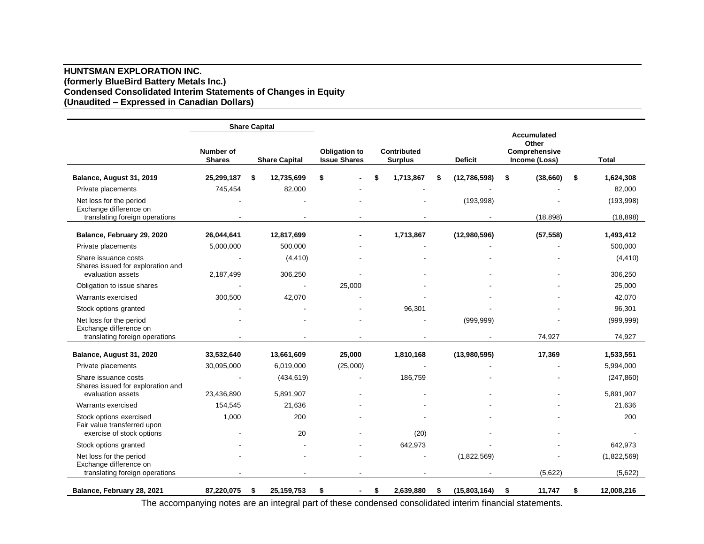## **HUNTSMAN EXPLORATION INC. (formerly BlueBird Battery Metals Inc.) Condensed Consolidated Interim Statements of Changes in Equity (Unaudited – Expressed in Canadian Dollars)**

|                                                                                     |                                   | <b>Share Capital</b> |                      |                                             |          |                                      |                    |                                                               |                        |
|-------------------------------------------------------------------------------------|-----------------------------------|----------------------|----------------------|---------------------------------------------|----------|--------------------------------------|--------------------|---------------------------------------------------------------|------------------------|
|                                                                                     | <b>Number of</b><br><b>Shares</b> |                      | <b>Share Capital</b> | <b>Obligation to</b><br><b>Issue Shares</b> |          | <b>Contributed</b><br><b>Surplus</b> | <b>Deficit</b>     | <b>Accumulated</b><br>Other<br>Comprehensive<br>Income (Loss) | Total                  |
| Balance, August 31, 2019                                                            | 25,299,187                        | \$                   | 12,735,699           | \$                                          |          | \$<br>1,713,867                      | (12,786,598)       | \$<br>(38, 660)                                               | \$<br>1,624,308        |
| Private placements                                                                  | 745,454                           |                      | 82,000               |                                             |          |                                      |                    |                                                               | 82,000                 |
| Net loss for the period<br>Exchange difference on<br>translating foreign operations |                                   |                      |                      |                                             |          |                                      | (193,998)          | (18, 898)                                                     | (193,998)<br>(18, 898) |
| Balance, February 29, 2020                                                          | 26,044,641                        |                      | 12,817,699           |                                             |          | 1,713,867                            | (12,980,596)       | (57, 558)                                                     | 1,493,412              |
| Private placements                                                                  | 5,000,000                         |                      | 500,000              |                                             |          |                                      |                    |                                                               | 500,000                |
| Share issuance costs<br>Shares issued for exploration and                           |                                   |                      | (4, 410)             |                                             |          |                                      |                    |                                                               | (4, 410)               |
| evaluation assets                                                                   | 2,187,499                         |                      | 306,250              |                                             |          |                                      |                    |                                                               | 306,250                |
| Obligation to issue shares                                                          |                                   |                      |                      |                                             | 25,000   |                                      |                    |                                                               | 25,000                 |
| Warrants exercised                                                                  | 300,500                           |                      | 42,070               |                                             |          |                                      |                    |                                                               | 42,070                 |
| Stock options granted                                                               |                                   |                      |                      |                                             |          | 96,301                               |                    |                                                               | 96,301                 |
| Net loss for the period<br>Exchange difference on                                   |                                   |                      |                      |                                             |          |                                      | (999, 999)         |                                                               | (999, 999)             |
| translating foreign operations                                                      |                                   |                      |                      |                                             |          |                                      |                    | 74.927                                                        | 74,927                 |
| Balance, August 31, 2020                                                            | 33,532,640                        |                      | 13,661,609           |                                             | 25,000   | 1,810,168                            | (13,980,595)       | 17,369                                                        | 1,533,551              |
| Private placements                                                                  | 30,095,000                        |                      | 6,019,000            |                                             | (25,000) |                                      |                    |                                                               | 5,994,000              |
| Share issuance costs<br>Shares issued for exploration and                           |                                   |                      | (434, 619)           |                                             |          | 186,759                              |                    |                                                               | (247, 860)             |
| evaluation assets                                                                   | 23,436,890                        |                      | 5,891,907            |                                             |          |                                      |                    |                                                               | 5,891,907              |
| Warrants exercised                                                                  | 154,545                           |                      | 21,636               |                                             |          |                                      |                    |                                                               | 21,636                 |
| Stock options exercised<br>Fair value transferred upon                              | 1,000                             |                      | 200                  |                                             |          |                                      |                    |                                                               | 200                    |
| exercise of stock options                                                           |                                   |                      | 20                   |                                             |          | (20)                                 |                    |                                                               |                        |
| Stock options granted                                                               |                                   |                      |                      |                                             |          | 642,973                              |                    |                                                               | 642,973                |
| Net loss for the period<br>Exchange difference on                                   |                                   |                      |                      |                                             |          |                                      | (1,822,569)        |                                                               | (1,822,569)            |
| translating foreign operations                                                      |                                   |                      |                      |                                             |          |                                      |                    | (5,622)                                                       | (5,622)                |
| Balance, February 28, 2021                                                          | 87,220,075                        | \$                   | 25, 159, 753         | \$                                          |          | \$<br>2,639,880                      | \$<br>(15,803,164) | \$<br>11,747                                                  | \$<br>12,008,216       |

The accompanying notes are an integral part of these condensed consolidated interim financial statements.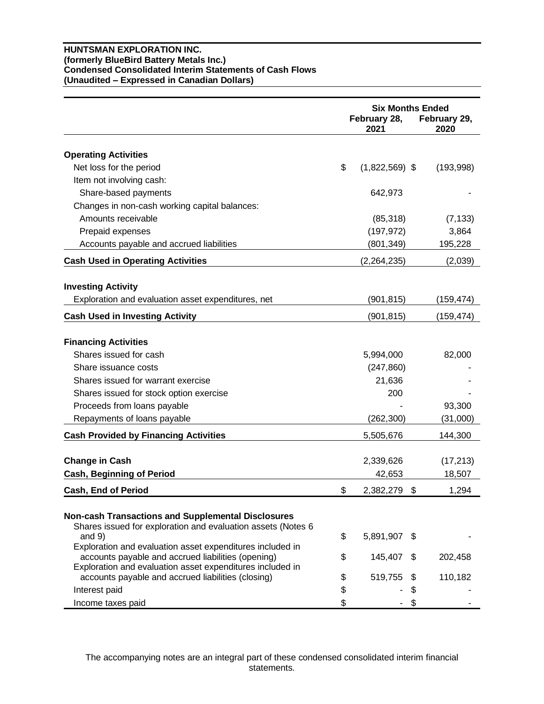## **HUNTSMAN EXPLORATION INC. (formerly BlueBird Battery Metals Inc.) Condensed Consolidated Interim Statements of Cash Flows (Unaudited – Expressed in Canadian Dollars)**

|                                                                                                                                                                              | <b>Six Months Ended</b><br>February 28,<br>February 29,<br>2021<br>2020 |    |            |  |
|------------------------------------------------------------------------------------------------------------------------------------------------------------------------------|-------------------------------------------------------------------------|----|------------|--|
| <b>Operating Activities</b>                                                                                                                                                  |                                                                         |    |            |  |
| Net loss for the period                                                                                                                                                      | \$<br>$(1,822,569)$ \$                                                  |    | (193,998)  |  |
| Item not involving cash:                                                                                                                                                     |                                                                         |    |            |  |
| Share-based payments                                                                                                                                                         | 642,973                                                                 |    |            |  |
| Changes in non-cash working capital balances:                                                                                                                                |                                                                         |    |            |  |
| Amounts receivable                                                                                                                                                           | (85, 318)                                                               |    | (7, 133)   |  |
| Prepaid expenses                                                                                                                                                             | (197, 972)                                                              |    | 3,864      |  |
| Accounts payable and accrued liabilities                                                                                                                                     | (801,349)                                                               |    | 195,228    |  |
| <b>Cash Used in Operating Activities</b>                                                                                                                                     | (2, 264, 235)                                                           |    | (2,039)    |  |
| <b>Investing Activity</b>                                                                                                                                                    |                                                                         |    |            |  |
| Exploration and evaluation asset expenditures, net                                                                                                                           | (901,815)                                                               |    | (159, 474) |  |
| <b>Cash Used in Investing Activity</b>                                                                                                                                       | (901,815)                                                               |    | (159, 474) |  |
| <b>Financing Activities</b>                                                                                                                                                  |                                                                         |    |            |  |
| Shares issued for cash                                                                                                                                                       | 5,994,000                                                               |    | 82,000     |  |
| Share issuance costs                                                                                                                                                         | (247, 860)                                                              |    |            |  |
| Shares issued for warrant exercise                                                                                                                                           | 21,636                                                                  |    |            |  |
| Shares issued for stock option exercise                                                                                                                                      | 200                                                                     |    |            |  |
| Proceeds from loans payable                                                                                                                                                  |                                                                         |    | 93,300     |  |
| Repayments of loans payable                                                                                                                                                  | (262,300)                                                               |    | (31,000)   |  |
| <b>Cash Provided by Financing Activities</b>                                                                                                                                 | 5,505,676                                                               |    | 144,300    |  |
| <b>Change in Cash</b>                                                                                                                                                        | 2,339,626                                                               |    | (17, 213)  |  |
| <b>Cash, Beginning of Period</b>                                                                                                                                             | 42,653                                                                  |    | 18,507     |  |
| <b>Cash, End of Period</b>                                                                                                                                                   | \$<br>2,382,279                                                         | \$ | 1,294      |  |
| <b>Non-cash Transactions and Supplemental Disclosures</b><br>Shares issued for exploration and evaluation assets (Notes 6<br>and $9)$                                        | \$<br>5,891,907                                                         | S. |            |  |
| Exploration and evaluation asset expenditures included in<br>accounts payable and accrued liabilities (opening)<br>Exploration and evaluation asset expenditures included in | \$<br>145,407                                                           | \$ | 202,458    |  |
| accounts payable and accrued liabilities (closing)                                                                                                                           | \$<br>519,755                                                           | \$ | 110,182    |  |
| Interest paid                                                                                                                                                                | \$                                                                      | \$ |            |  |
| Income taxes paid                                                                                                                                                            | \$                                                                      | \$ |            |  |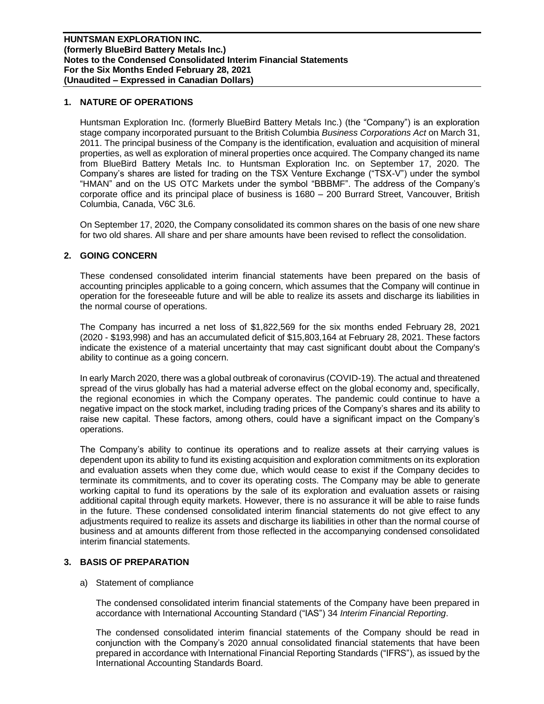## **1. NATURE OF OPERATIONS**

Huntsman Exploration Inc. (formerly BlueBird Battery Metals Inc.) (the "Company") is an exploration stage company incorporated pursuant to the British Columbia *Business Corporations Act* on March 31, 2011. The principal business of the Company is the identification, evaluation and acquisition of mineral properties, as well as exploration of mineral properties once acquired. The Company changed its name from BlueBird Battery Metals Inc. to Huntsman Exploration Inc. on September 17, 2020. The Company's shares are listed for trading on the TSX Venture Exchange ("TSX-V") under the symbol "HMAN" and on the US OTC Markets under the symbol "BBBMF". The address of the Company's corporate office and its principal place of business is 1680 – 200 Burrard Street, Vancouver, British Columbia, Canada, V6C 3L6.

On September 17, 2020, the Company consolidated its common shares on the basis of one new share for two old shares. All share and per share amounts have been revised to reflect the consolidation.

## **2. GOING CONCERN**

These condensed consolidated interim financial statements have been prepared on the basis of accounting principles applicable to a going concern, which assumes that the Company will continue in operation for the foreseeable future and will be able to realize its assets and discharge its liabilities in the normal course of operations.

The Company has incurred a net loss of \$1,822,569 for the six months ended February 28, 2021 (2020 - \$193,998) and has an accumulated deficit of \$15,803,164 at February 28, 2021. These factors indicate the existence of a material uncertainty that may cast significant doubt about the Company's ability to continue as a going concern.

In early March 2020, there was a global outbreak of coronavirus (COVID-19). The actual and threatened spread of the virus globally has had a material adverse effect on the global economy and, specifically, the regional economies in which the Company operates. The pandemic could continue to have a negative impact on the stock market, including trading prices of the Company's shares and its ability to raise new capital. These factors, among others, could have a significant impact on the Company's operations.

The Company's ability to continue its operations and to realize assets at their carrying values is dependent upon its ability to fund its existing acquisition and exploration commitments on its exploration and evaluation assets when they come due, which would cease to exist if the Company decides to terminate its commitments, and to cover its operating costs. The Company may be able to generate working capital to fund its operations by the sale of its exploration and evaluation assets or raising additional capital through equity markets. However, there is no assurance it will be able to raise funds in the future. These condensed consolidated interim financial statements do not give effect to any adjustments required to realize its assets and discharge its liabilities in other than the normal course of business and at amounts different from those reflected in the accompanying condensed consolidated interim financial statements.

## **3. BASIS OF PREPARATION**

## a) Statement of compliance

The condensed consolidated interim financial statements of the Company have been prepared in accordance with International Accounting Standard ("IAS") 34 *Interim Financial Reporting*.

The condensed consolidated interim financial statements of the Company should be read in conjunction with the Company's 2020 annual consolidated financial statements that have been prepared in accordance with International Financial Reporting Standards ("IFRS"), as issued by the International Accounting Standards Board.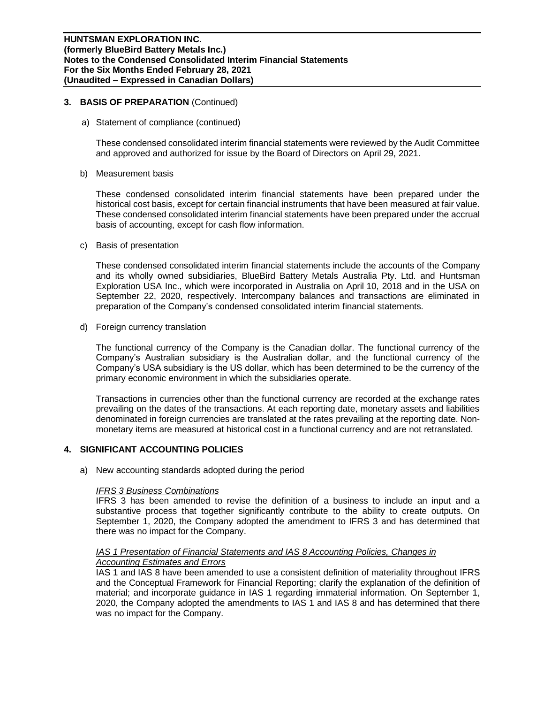## **3. BASIS OF PREPARATION** (Continued)

a) Statement of compliance (continued)

These condensed consolidated interim financial statements were reviewed by the Audit Committee and approved and authorized for issue by the Board of Directors on April 29, 2021.

b) Measurement basis

These condensed consolidated interim financial statements have been prepared under the historical cost basis, except for certain financial instruments that have been measured at fair value. These condensed consolidated interim financial statements have been prepared under the accrual basis of accounting, except for cash flow information.

c) Basis of presentation

These condensed consolidated interim financial statements include the accounts of the Company and its wholly owned subsidiaries, BlueBird Battery Metals Australia Pty. Ltd. and Huntsman Exploration USA Inc., which were incorporated in Australia on April 10, 2018 and in the USA on September 22, 2020, respectively. Intercompany balances and transactions are eliminated in preparation of the Company's condensed consolidated interim financial statements.

d) Foreign currency translation

The functional currency of the Company is the Canadian dollar. The functional currency of the Company's Australian subsidiary is the Australian dollar, and the functional currency of the Company's USA subsidiary is the US dollar, which has been determined to be the currency of the primary economic environment in which the subsidiaries operate.

Transactions in currencies other than the functional currency are recorded at the exchange rates prevailing on the dates of the transactions. At each reporting date, monetary assets and liabilities denominated in foreign currencies are translated at the rates prevailing at the reporting date. Nonmonetary items are measured at historical cost in a functional currency and are not retranslated.

## **4. SIGNIFICANT ACCOUNTING POLICIES**

a) New accounting standards adopted during the period

#### *IFRS 3 Business Combinations*

IFRS 3 has been amended to revise the definition of a business to include an input and a substantive process that together significantly contribute to the ability to create outputs. On September 1, 2020, the Company adopted the amendment to IFRS 3 and has determined that there was no impact for the Company.

## **IAS 1 Presentation of Financial Statements and IAS 8 Accounting Policies, Changes in** *Accounting Estimates and Errors*

IAS 1 and IAS 8 have been amended to use a consistent definition of materiality throughout IFRS and the Conceptual Framework for Financial Reporting; clarify the explanation of the definition of material; and incorporate guidance in IAS 1 regarding immaterial information. On September 1, 2020, the Company adopted the amendments to IAS 1 and IAS 8 and has determined that there was no impact for the Company.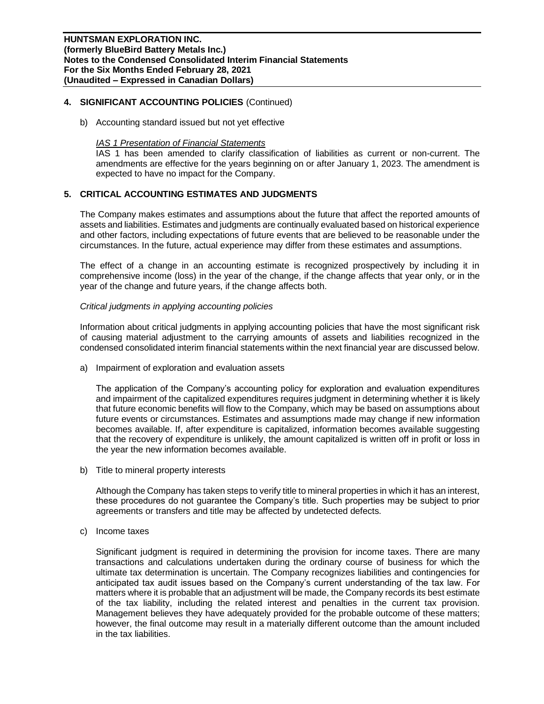## **4. SIGNIFICANT ACCOUNTING POLICIES** (Continued)

b) Accounting standard issued but not yet effective

### *IAS 1 Presentation of Financial Statements*

IAS 1 has been amended to clarify classification of liabilities as current or non-current. The amendments are effective for the years beginning on or after January 1, 2023. The amendment is expected to have no impact for the Company.

## **5. CRITICAL ACCOUNTING ESTIMATES AND JUDGMENTS**

The Company makes estimates and assumptions about the future that affect the reported amounts of assets and liabilities. Estimates and judgments are continually evaluated based on historical experience and other factors, including expectations of future events that are believed to be reasonable under the circumstances. In the future, actual experience may differ from these estimates and assumptions.

The effect of a change in an accounting estimate is recognized prospectively by including it in comprehensive income (loss) in the year of the change, if the change affects that year only, or in the year of the change and future years, if the change affects both.

## *Critical judgments in applying accounting policies*

Information about critical judgments in applying accounting policies that have the most significant risk of causing material adjustment to the carrying amounts of assets and liabilities recognized in the condensed consolidated interim financial statements within the next financial year are discussed below.

a) Impairment of exploration and evaluation assets

The application of the Company's accounting policy for exploration and evaluation expenditures and impairment of the capitalized expenditures requires judgment in determining whether it is likely that future economic benefits will flow to the Company, which may be based on assumptions about future events or circumstances. Estimates and assumptions made may change if new information becomes available. If, after expenditure is capitalized, information becomes available suggesting that the recovery of expenditure is unlikely, the amount capitalized is written off in profit or loss in the year the new information becomes available.

b) Title to mineral property interests

Although the Company has taken steps to verify title to mineral properties in which it has an interest, these procedures do not guarantee the Company's title. Such properties may be subject to prior agreements or transfers and title may be affected by undetected defects.

c) Income taxes

Significant judgment is required in determining the provision for income taxes. There are many transactions and calculations undertaken during the ordinary course of business for which the ultimate tax determination is uncertain. The Company recognizes liabilities and contingencies for anticipated tax audit issues based on the Company's current understanding of the tax law. For matters where it is probable that an adjustment will be made, the Company records its best estimate of the tax liability, including the related interest and penalties in the current tax provision. Management believes they have adequately provided for the probable outcome of these matters; however, the final outcome may result in a materially different outcome than the amount included in the tax liabilities.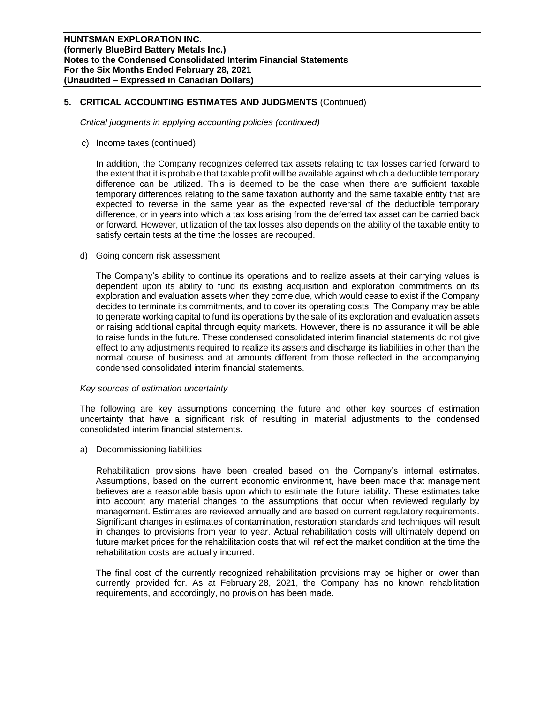## **5. CRITICAL ACCOUNTING ESTIMATES AND JUDGMENTS** (Continued)

*Critical judgments in applying accounting policies (continued)*

c) Income taxes (continued)

In addition, the Company recognizes deferred tax assets relating to tax losses carried forward to the extent that it is probable that taxable profit will be available against which a deductible temporary difference can be utilized. This is deemed to be the case when there are sufficient taxable temporary differences relating to the same taxation authority and the same taxable entity that are expected to reverse in the same year as the expected reversal of the deductible temporary difference, or in years into which a tax loss arising from the deferred tax asset can be carried back or forward. However, utilization of the tax losses also depends on the ability of the taxable entity to satisfy certain tests at the time the losses are recouped.

d) Going concern risk assessment

The Company's ability to continue its operations and to realize assets at their carrying values is dependent upon its ability to fund its existing acquisition and exploration commitments on its exploration and evaluation assets when they come due, which would cease to exist if the Company decides to terminate its commitments, and to cover its operating costs. The Company may be able to generate working capital to fund its operations by the sale of its exploration and evaluation assets or raising additional capital through equity markets. However, there is no assurance it will be able to raise funds in the future. These condensed consolidated interim financial statements do not give effect to any adjustments required to realize its assets and discharge its liabilities in other than the normal course of business and at amounts different from those reflected in the accompanying condensed consolidated interim financial statements.

#### *Key sources of estimation uncertainty*

The following are key assumptions concerning the future and other key sources of estimation uncertainty that have a significant risk of resulting in material adjustments to the condensed consolidated interim financial statements.

a) Decommissioning liabilities

Rehabilitation provisions have been created based on the Company's internal estimates. Assumptions, based on the current economic environment, have been made that management believes are a reasonable basis upon which to estimate the future liability. These estimates take into account any material changes to the assumptions that occur when reviewed regularly by management. Estimates are reviewed annually and are based on current regulatory requirements. Significant changes in estimates of contamination, restoration standards and techniques will result in changes to provisions from year to year. Actual rehabilitation costs will ultimately depend on future market prices for the rehabilitation costs that will reflect the market condition at the time the rehabilitation costs are actually incurred.

The final cost of the currently recognized rehabilitation provisions may be higher or lower than currently provided for. As at February 28, 2021, the Company has no known rehabilitation requirements, and accordingly, no provision has been made.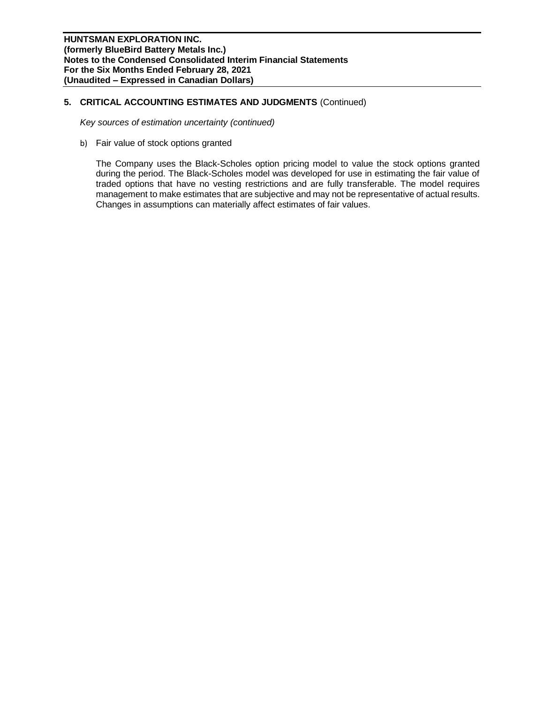## **5. CRITICAL ACCOUNTING ESTIMATES AND JUDGMENTS** (Continued)

*Key sources of estimation uncertainty (continued)*

b) Fair value of stock options granted

The Company uses the Black-Scholes option pricing model to value the stock options granted during the period. The Black-Scholes model was developed for use in estimating the fair value of traded options that have no vesting restrictions and are fully transferable. The model requires management to make estimates that are subjective and may not be representative of actual results. Changes in assumptions can materially affect estimates of fair values.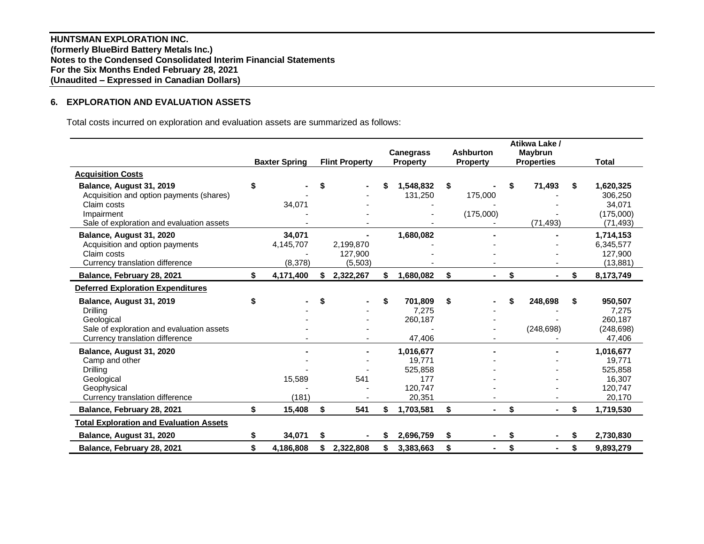**HUNTSMAN EXPLORATION INC. (formerly BlueBird Battery Metals Inc.) Notes to the Condensed Consolidated Interim Financial Statements For the Six Months Ended February 28, 2021 (Unaudited – Expressed in Canadian Dollars)**

# **6. EXPLORATION AND EVALUATION ASSETS**

Total costs incurred on exploration and evaluation assets are summarized as follows:

|                                                                                                                                                |    | <b>Baxter Spring</b>           |    | <b>Flint Property</b>            | <b>Canegrass</b><br><b>Property</b>                        | <b>Ashburton</b><br><b>Property</b> |    | Atikwa Lake /<br><b>Maybrun</b><br><b>Properties</b> | <b>Total</b>                                                   |
|------------------------------------------------------------------------------------------------------------------------------------------------|----|--------------------------------|----|----------------------------------|------------------------------------------------------------|-------------------------------------|----|------------------------------------------------------|----------------------------------------------------------------|
| <b>Acquisition Costs</b>                                                                                                                       |    |                                |    |                                  |                                                            |                                     |    |                                                      |                                                                |
| Balance, August 31, 2019<br>Acquisition and option payments (shares)<br>Claim costs<br>Impairment<br>Sale of exploration and evaluation assets | S  | 34,071                         |    |                                  | 1,548,832<br>131,250                                       | \$<br>175,000<br>(175,000)          | S  | 71,493<br>(71, 493)                                  | \$<br>1,620,325<br>306,250<br>34,071<br>(175,000)<br>(71, 493) |
| Balance, August 31, 2020<br>Acquisition and option payments<br>Claim costs<br>Currency translation difference                                  |    | 34.071<br>4,145,707<br>(8,378) |    | 2,199,870<br>127,900<br>(5, 503) | 1,680,082                                                  |                                     |    |                                                      | 1,714,153<br>6,345,577<br>127,900<br>(13, 881)                 |
| Balance, February 28, 2021                                                                                                                     | \$ | 4,171,400                      | S. | 2,322,267                        | \$<br>1,680,082                                            | \$                                  | \$ |                                                      | \$<br>8,173,749                                                |
| <b>Deferred Exploration Expenditures</b>                                                                                                       |    |                                |    |                                  |                                                            |                                     |    |                                                      |                                                                |
| Balance, August 31, 2019<br>Drilling<br>Geological<br>Sale of exploration and evaluation assets<br>Currency translation difference             |    |                                |    |                                  | \$<br>701,809<br>7,275<br>260,187<br>47,406                | \$                                  |    | 248,698<br>(248, 698)                                | \$<br>950,507<br>7,275<br>260,187<br>(248, 698)<br>47,406      |
| Balance, August 31, 2020<br>Camp and other<br>Drilling<br>Geological<br>Geophysical<br>Currency translation difference                         |    | 15,589<br>(181)                |    | 541                              | 1,016,677<br>19,771<br>525,858<br>177<br>120,747<br>20,351 |                                     |    |                                                      | 1,016,677<br>19,771<br>525,858<br>16,307<br>120,747<br>20,170  |
| Balance, February 28, 2021                                                                                                                     | \$ | 15,408                         | \$ | 541                              | \$<br>1,703,581                                            | \$<br>$\blacksquare$                | \$ |                                                      | \$<br>1,719,530                                                |
| <b>Total Exploration and Evaluation Assets</b>                                                                                                 |    |                                |    |                                  |                                                            |                                     |    |                                                      |                                                                |
| Balance, August 31, 2020                                                                                                                       | \$ | 34,071                         | S  |                                  | 2,696,759                                                  | \$                                  | S  |                                                      | \$<br>2,730,830                                                |
| Balance, February 28, 2021                                                                                                                     | \$ | 4.186.808                      | \$ | 2,322,808                        | \$<br>3,383,663                                            | \$                                  | \$ |                                                      | \$<br>9.893.279                                                |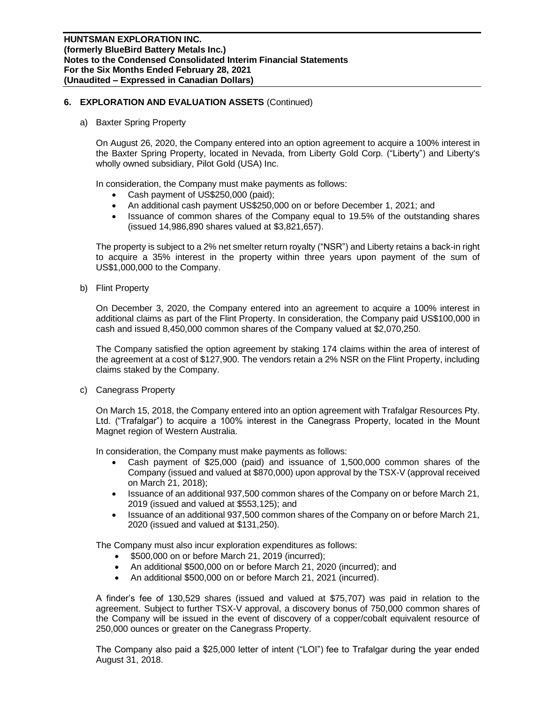## **6. EXPLORATION AND EVALUATION ASSETS** (Continued)

a) Baxter Spring Property

On August 26, 2020, the Company entered into an option agreement to acquire a 100% interest in the Baxter Spring Property, located in Nevada, from Liberty Gold Corp. ("Liberty") and Liberty's wholly owned subsidiary, Pilot Gold (USA) Inc.

In consideration, the Company must make payments as follows:

- Cash payment of US\$250,000 (paid);
- An additional cash payment US\$250,000 on or before December 1, 2021; and
- Issuance of common shares of the Company equal to 19.5% of the outstanding shares (issued 14,986,890 shares valued at \$3,821,657).

The property is subject to a 2% net smelter return royalty ("NSR") and Liberty retains a back-in right to acquire a 35% interest in the property within three years upon payment of the sum of US\$1,000,000 to the Company.

b) Flint Property

On December 3, 2020, the Company entered into an agreement to acquire a 100% interest in additional claims as part of the Flint Property. In consideration, the Company paid US\$100,000 in cash and issued 8,450,000 common shares of the Company valued at \$2,070,250.

The Company satisfied the option agreement by staking 174 claims within the area of interest of the agreement at a cost of \$127,900. The vendors retain a 2% NSR on the Flint Property, including claims staked by the Company.

c) Canegrass Property

On March 15, 2018, the Company entered into an option agreement with Trafalgar Resources Pty. Ltd. ("Trafalgar") to acquire a 100% interest in the Canegrass Property, located in the Mount Magnet region of Western Australia.

In consideration, the Company must make payments as follows:

- Cash payment of \$25,000 (paid) and issuance of 1,500,000 common shares of the Company (issued and valued at \$870,000) upon approval by the TSX-V (approval received on March 21, 2018);
- Issuance of an additional 937,500 common shares of the Company on or before March 21, 2019 (issued and valued at \$553,125); and
- Issuance of an additional 937,500 common shares of the Company on or before March 21, 2020 (issued and valued at \$131,250).

The Company must also incur exploration expenditures as follows:

- \$500,000 on or before March 21, 2019 (incurred);
- An additional \$500,000 on or before March 21, 2020 (incurred); and
- An additional \$500,000 on or before March 21, 2021 (incurred).

A finder's fee of 130,529 shares (issued and valued at \$75,707) was paid in relation to the agreement. Subject to further TSX-V approval, a discovery bonus of 750,000 common shares of the Company will be issued in the event of discovery of a copper/cobalt equivalent resource of 250,000 ounces or greater on the Canegrass Property.

The Company also paid a \$25,000 letter of intent ("LOI") fee to Trafalgar during the year ended August 31, 2018.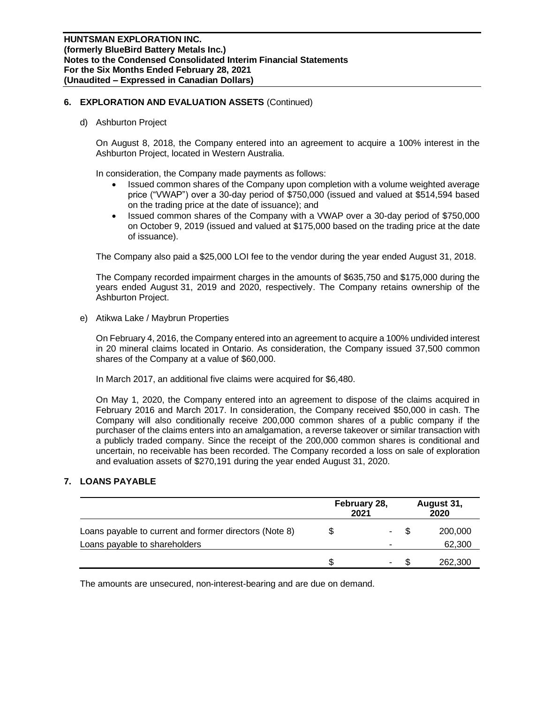## **6. EXPLORATION AND EVALUATION ASSETS** (Continued)

d) Ashburton Project

On August 8, 2018, the Company entered into an agreement to acquire a 100% interest in the Ashburton Project, located in Western Australia.

In consideration, the Company made payments as follows:

- Issued common shares of the Company upon completion with a volume weighted average price ("VWAP") over a 30-day period of \$750,000 (issued and valued at \$514,594 based on the trading price at the date of issuance); and
- Issued common shares of the Company with a VWAP over a 30-day period of \$750,000 on October 9, 2019 (issued and valued at \$175,000 based on the trading price at the date of issuance).

The Company also paid a \$25,000 LOI fee to the vendor during the year ended August 31, 2018.

The Company recorded impairment charges in the amounts of \$635,750 and \$175,000 during the years ended August 31, 2019 and 2020, respectively. The Company retains ownership of the Ashburton Project.

e) Atikwa Lake / Maybrun Properties

On February 4, 2016, the Company entered into an agreement to acquire a 100% undivided interest in 20 mineral claims located in Ontario. As consideration, the Company issued 37,500 common shares of the Company at a value of \$60,000.

In March 2017, an additional five claims were acquired for \$6,480.

On May 1, 2020, the Company entered into an agreement to dispose of the claims acquired in February 2016 and March 2017. In consideration, the Company received \$50,000 in cash. The Company will also conditionally receive 200,000 common shares of a public company if the purchaser of the claims enters into an amalgamation, a reverse takeover or similar transaction with a publicly traded company. Since the receipt of the 200,000 common shares is conditional and uncertain, no receivable has been recorded. The Company recorded a loss on sale of exploration and evaluation assets of \$270,191 during the year ended August 31, 2020.

## **7. LOANS PAYABLE**

|                                                        | 2021 | February 28, |   | August 31,<br>2020 |
|--------------------------------------------------------|------|--------------|---|--------------------|
| Loans payable to current and former directors (Note 8) |      | ٠            | S | 200,000            |
| Loans payable to shareholders                          |      |              |   | 62,300             |
|                                                        |      |              |   | 262,300            |

The amounts are unsecured, non-interest-bearing and are due on demand.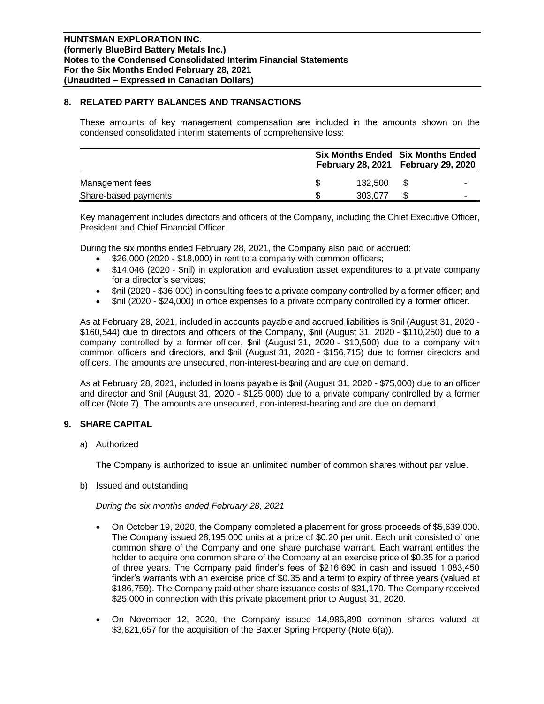## **8. RELATED PARTY BALANCES AND TRANSACTIONS**

These amounts of key management compensation are included in the amounts shown on the condensed consolidated interim statements of comprehensive loss:

|                      | <b>Six Months Ended Six Months Ended</b><br>February 28, 2021    February 29, 2020 |         |      |  |  |  |
|----------------------|------------------------------------------------------------------------------------|---------|------|--|--|--|
| Management fees      |                                                                                    | 132.500 | - \$ |  |  |  |
| Share-based payments | S                                                                                  | 303.077 |      |  |  |  |

Key management includes directors and officers of the Company, including the Chief Executive Officer, President and Chief Financial Officer.

During the six months ended February 28, 2021, the Company also paid or accrued:

- \$26,000 (2020 \$18,000) in rent to a company with common officers;
- \$14,046 (2020 \$nil) in exploration and evaluation asset expenditures to a private company for a director's services;
- \$nil (2020 \$36,000) in consulting fees to a private company controlled by a former officer; and
- \$nil (2020 \$24,000) in office expenses to a private company controlled by a former officer.

As at February 28, 2021, included in accounts payable and accrued liabilities is \$nil (August 31, 2020 - \$160,544) due to directors and officers of the Company, \$nil (August 31, 2020 - \$110,250) due to a company controlled by a former officer, \$nil (August 31, 2020 - \$10,500) due to a company with common officers and directors, and \$nil (August 31, 2020 - \$156,715) due to former directors and officers. The amounts are unsecured, non-interest-bearing and are due on demand.

As at February 28, 2021, included in loans payable is \$nil (August 31, 2020 - \$75,000) due to an officer and director and \$nil (August 31, 2020 - \$125,000) due to a private company controlled by a former officer (Note 7). The amounts are unsecured, non-interest-bearing and are due on demand.

# **9. SHARE CAPITAL**

a) Authorized

The Company is authorized to issue an unlimited number of common shares without par value.

b) Issued and outstanding

*During the six months ended February 28, 2021*

- On October 19, 2020, the Company completed a placement for gross proceeds of \$5,639,000. The Company issued 28,195,000 units at a price of \$0.20 per unit. Each unit consisted of one common share of the Company and one share purchase warrant. Each warrant entitles the holder to acquire one common share of the Company at an exercise price of \$0.35 for a period of three years. The Company paid finder's fees of \$216,690 in cash and issued 1,083,450 finder's warrants with an exercise price of \$0.35 and a term to expiry of three years (valued at \$186,759). The Company paid other share issuance costs of \$31,170. The Company received \$25,000 in connection with this private placement prior to August 31, 2020.
- On November 12, 2020, the Company issued 14,986,890 common shares valued at \$3,821,657 for the acquisition of the Baxter Spring Property (Note 6(a)).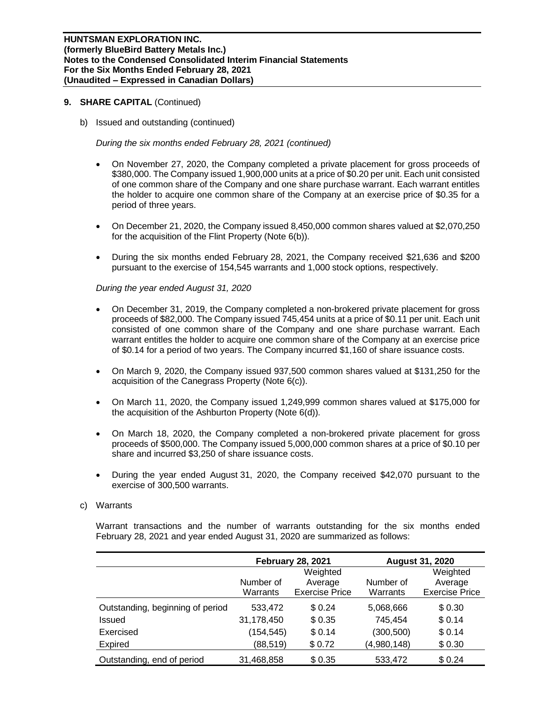b) Issued and outstanding (continued)

*During the six months ended February 28, 2021 (continued)*

- On November 27, 2020, the Company completed a private placement for gross proceeds of \$380,000. The Company issued 1,900,000 units at a price of \$0.20 per unit. Each unit consisted of one common share of the Company and one share purchase warrant. Each warrant entitles the holder to acquire one common share of the Company at an exercise price of \$0.35 for a period of three years.
- On December 21, 2020, the Company issued 8,450,000 common shares valued at \$2,070,250 for the acquisition of the Flint Property (Note 6(b)).
- During the six months ended February 28, 2021, the Company received \$21,636 and \$200 pursuant to the exercise of 154,545 warrants and 1,000 stock options, respectively.

*During the year ended August 31, 2020*

- On December 31, 2019, the Company completed a non-brokered private placement for gross proceeds of \$82,000. The Company issued 745,454 units at a price of \$0.11 per unit. Each unit consisted of one common share of the Company and one share purchase warrant. Each warrant entitles the holder to acquire one common share of the Company at an exercise price of \$0.14 for a period of two years. The Company incurred \$1,160 of share issuance costs.
- On March 9, 2020, the Company issued 937,500 common shares valued at \$131,250 for the acquisition of the Canegrass Property (Note 6(c)).
- On March 11, 2020, the Company issued 1,249,999 common shares valued at \$175,000 for the acquisition of the Ashburton Property (Note 6(d)).
- On March 18, 2020, the Company completed a non-brokered private placement for gross proceeds of \$500,000. The Company issued 5,000,000 common shares at a price of \$0.10 per share and incurred \$3,250 of share issuance costs.
- During the year ended August 31, 2020, the Company received \$42,070 pursuant to the exercise of 300,500 warrants.

## c) Warrants

Warrant transactions and the number of warrants outstanding for the six months ended February 28, 2021 and year ended August 31, 2020 are summarized as follows:

|                                  |            | <b>February 28, 2021</b> |             | <b>August 31, 2020</b> |  |  |  |
|----------------------------------|------------|--------------------------|-------------|------------------------|--|--|--|
|                                  |            | Weighted                 |             |                        |  |  |  |
|                                  | Number of  | Average                  | Number of   | Average                |  |  |  |
|                                  | Warrants   | <b>Exercise Price</b>    | Warrants    | <b>Exercise Price</b>  |  |  |  |
| Outstanding, beginning of period | 533,472    | \$0.24                   | 5,068,666   | \$0.30                 |  |  |  |
| Issued                           | 31,178,450 | \$0.35                   | 745,454     | \$0.14                 |  |  |  |
| Exercised                        | (154, 545) | \$0.14                   | (300, 500)  | \$0.14                 |  |  |  |
| Expired                          | (88, 519)  | \$0.72                   | (4,980,148) | \$0.30                 |  |  |  |
| Outstanding, end of period       | 31,468,858 | \$0.35                   | 533,472     | \$0.24                 |  |  |  |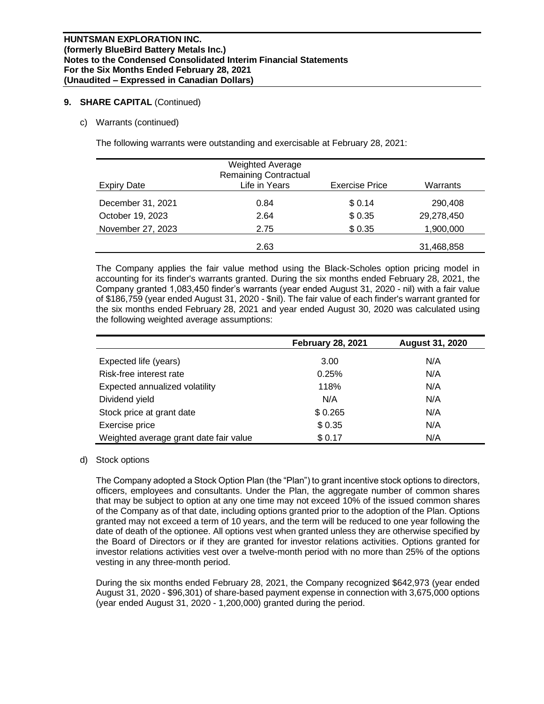## c) Warrants (continued)

The following warrants were outstanding and exercisable at February 28, 2021:

| <b>Expiry Date</b> | <b>Weighted Average</b><br><b>Remaining Contractual</b><br>Life in Years | <b>Exercise Price</b> | Warrants   |
|--------------------|--------------------------------------------------------------------------|-----------------------|------------|
| December 31, 2021  | 0.84                                                                     | \$0.14                | 290,408    |
| October 19, 2023   | 2.64                                                                     | \$0.35                | 29,278,450 |
| November 27, 2023  | 2.75                                                                     | \$0.35                | 1,900,000  |
|                    | 2.63                                                                     |                       | 31,468,858 |

The Company applies the fair value method using the Black-Scholes option pricing model in accounting for its finder's warrants granted. During the six months ended February 28, 2021, the Company granted 1,083,450 finder's warrants (year ended August 31, 2020 - nil) with a fair value of \$186,759 (year ended August 31, 2020 - \$nil). The fair value of each finder's warrant granted for the six months ended February 28, 2021 and year ended August 30, 2020 was calculated using the following weighted average assumptions:

|                                        | <b>February 28, 2021</b> | <b>August 31, 2020</b> |
|----------------------------------------|--------------------------|------------------------|
| Expected life (years)                  | 3.00                     | N/A                    |
| Risk-free interest rate                | 0.25%                    | N/A                    |
| Expected annualized volatility         | 118%                     | N/A                    |
| Dividend yield                         | N/A                      | N/A                    |
| Stock price at grant date              | \$0.265                  | N/A                    |
| Exercise price                         | \$0.35                   | N/A                    |
| Weighted average grant date fair value | \$0.17                   | N/A                    |

## d) Stock options

The Company adopted a Stock Option Plan (the "Plan") to grant incentive stock options to directors, officers, employees and consultants. Under the Plan, the aggregate number of common shares that may be subject to option at any one time may not exceed 10% of the issued common shares of the Company as of that date, including options granted prior to the adoption of the Plan. Options granted may not exceed a term of 10 years, and the term will be reduced to one year following the date of death of the optionee. All options vest when granted unless they are otherwise specified by the Board of Directors or if they are granted for investor relations activities. Options granted for investor relations activities vest over a twelve-month period with no more than 25% of the options vesting in any three-month period.

During the six months ended February 28, 2021, the Company recognized \$642,973 (year ended August 31, 2020 - \$96,301) of share-based payment expense in connection with 3,675,000 options (year ended August 31, 2020 - 1,200,000) granted during the period.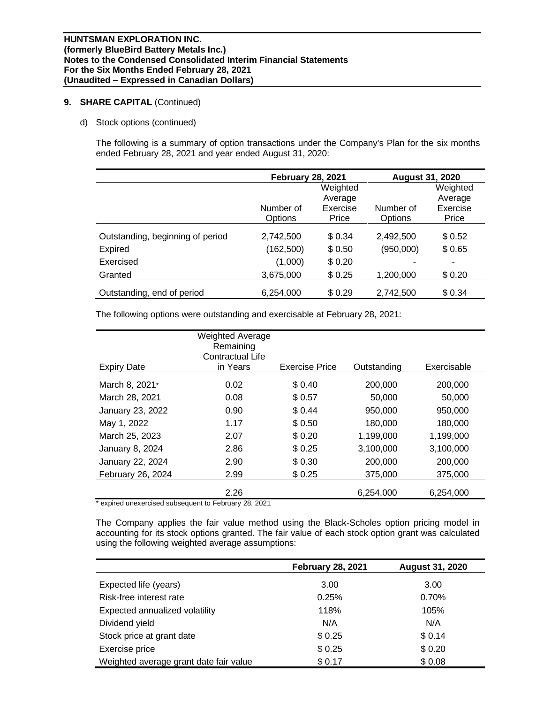d) Stock options (continued)

The following is a summary of option transactions under the Company's Plan for the six months ended February 28, 2021 and year ended August 31, 2020:

|                                  | <b>February 28, 2021</b> |          |           | <b>August 31, 2020</b> |  |  |
|----------------------------------|--------------------------|----------|-----------|------------------------|--|--|
|                                  |                          |          | Weighted  |                        |  |  |
|                                  |                          | Average  |           | Average                |  |  |
|                                  | Number of                | Exercise | Number of | Exercise               |  |  |
|                                  | Options                  | Price    | Options   | Price                  |  |  |
| Outstanding, beginning of period | 2,742,500                | \$0.34   | 2,492,500 | \$0.52                 |  |  |
| <b>Expired</b>                   | (162,500)                | \$0.50   | (950,000) | \$0.65                 |  |  |
| Exercised                        | (1,000)                  | \$0.20   |           | ٠                      |  |  |
| Granted                          | 3,675,000                | \$0.25   | 1,200,000 | \$0.20                 |  |  |
| Outstanding, end of period       | 6,254,000                | \$0.29   | 2,742,500 | \$0.34                 |  |  |

The following options were outstanding and exercisable at February 28, 2021:

| <b>Expiry Date</b>                                                                      | <b>Weighted Average</b><br>Remaining<br>Contractual Life<br>in Years | <b>Exercise Price</b> | Outstanding | Exercisable |
|-----------------------------------------------------------------------------------------|----------------------------------------------------------------------|-----------------------|-------------|-------------|
| March 8, 2021*                                                                          | 0.02                                                                 | \$0.40                | 200,000     | 200,000     |
| March 28, 2021                                                                          | 0.08                                                                 | \$0.57                | 50,000      | 50,000      |
| January 23, 2022                                                                        | 0.90                                                                 | \$0.44                | 950,000     | 950,000     |
| May 1, 2022                                                                             | 1.17                                                                 | \$0.50                | 180,000     | 180,000     |
| March 25, 2023                                                                          | 2.07                                                                 | \$0.20                | 1,199,000   | 1,199,000   |
| January 8, 2024                                                                         | 2.86                                                                 | \$0.25                | 3,100,000   | 3,100,000   |
| January 22, 2024                                                                        | 2.90                                                                 | \$0.30                | 200,000     | 200,000     |
| February 26, 2024                                                                       | 2.99                                                                 | \$0.25                | 375,000     | 375,000     |
| $*$ sustained in an appropriate distribution of the $\Gamma$ algorithm in $\Omega$ 0004 | 2.26                                                                 |                       | 6,254,000   | 6,254,000   |

expired unexercised subsequent to February 28, 2021

The Company applies the fair value method using the Black-Scholes option pricing model in accounting for its stock options granted. The fair value of each stock option grant was calculated using the following weighted average assumptions:

|                                        | <b>February 28, 2021</b> | <b>August 31, 2020</b> |  |  |  |
|----------------------------------------|--------------------------|------------------------|--|--|--|
| Expected life (years)                  | 3.00                     | 3.00                   |  |  |  |
| Risk-free interest rate                | 0.25%                    | 0.70%                  |  |  |  |
| Expected annualized volatility         | 118%                     | 105%                   |  |  |  |
| Dividend yield                         | N/A                      | N/A                    |  |  |  |
| Stock price at grant date              | \$0.25                   | \$0.14                 |  |  |  |
| Exercise price                         | \$0.25                   | \$0.20                 |  |  |  |
| Weighted average grant date fair value | \$0.17                   | \$0.08                 |  |  |  |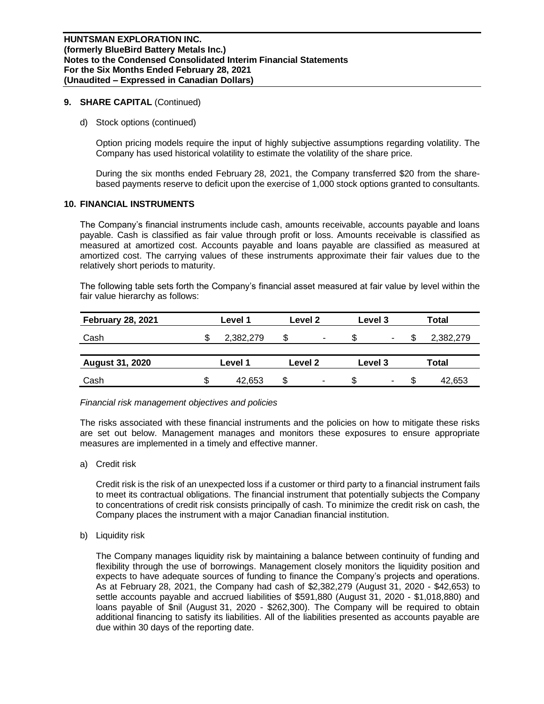d) Stock options (continued)

Option pricing models require the input of highly subjective assumptions regarding volatility. The Company has used historical volatility to estimate the volatility of the share price.

During the six months ended February 28, 2021, the Company transferred \$20 from the sharebased payments reserve to deficit upon the exercise of 1,000 stock options granted to consultants.

#### **10. FINANCIAL INSTRUMENTS**

The Company's financial instruments include cash, amounts receivable, accounts payable and loans payable. Cash is classified as fair value through profit or loss. Amounts receivable is classified as measured at amortized cost. Accounts payable and loans payable are classified as measured at amortized cost. The carrying values of these instruments approximate their fair values due to the relatively short periods to maturity.

The following table sets forth the Company's financial asset measured at fair value by level within the fair value hierarchy as follows:

| <b>February 28, 2021</b> | Level 1 |           |         | Level 2 |         | Level 3 |       | Total     |  |  |
|--------------------------|---------|-----------|---------|---------|---------|---------|-------|-----------|--|--|
| Cash                     |         | 2,382,279 | \$      | ٠       |         |         |       | 2,382,279 |  |  |
| <b>August 31, 2020</b>   | Level 1 |           | Level 2 |         | Level 3 |         | Total |           |  |  |
| Cash                     |         | 42,653    |         | ٠       |         | ۰       | S.    | 42,653    |  |  |

#### *Financial risk management objectives and policies*

The risks associated with these financial instruments and the policies on how to mitigate these risks are set out below. Management manages and monitors these exposures to ensure appropriate measures are implemented in a timely and effective manner.

a) Credit risk

Credit risk is the risk of an unexpected loss if a customer or third party to a financial instrument fails to meet its contractual obligations. The financial instrument that potentially subjects the Company to concentrations of credit risk consists principally of cash. To minimize the credit risk on cash, the Company places the instrument with a major Canadian financial institution.

b) Liquidity risk

The Company manages liquidity risk by maintaining a balance between continuity of funding and flexibility through the use of borrowings. Management closely monitors the liquidity position and expects to have adequate sources of funding to finance the Company's projects and operations. As at February 28, 2021, the Company had cash of \$2,382,279 (August 31, 2020 - \$42,653) to settle accounts payable and accrued liabilities of \$591,880 (August 31, 2020 - \$1,018,880) and loans payable of \$nil (August 31, 2020 - \$262,300). The Company will be required to obtain additional financing to satisfy its liabilities. All of the liabilities presented as accounts payable are due within 30 days of the reporting date.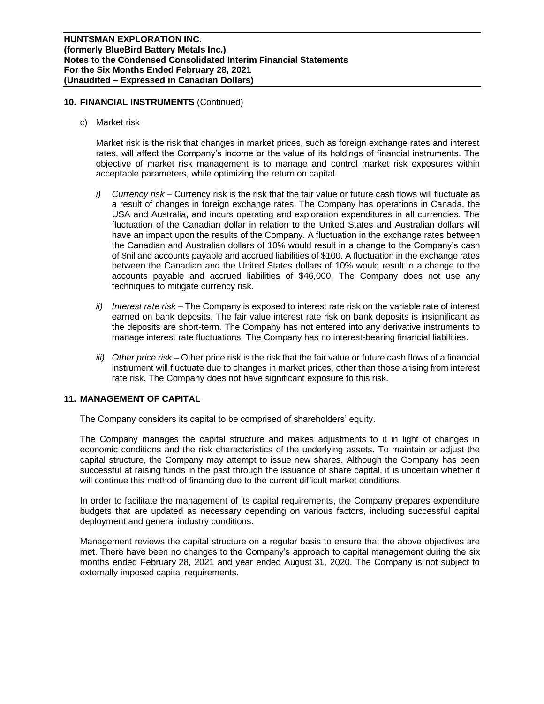## **10. FINANCIAL INSTRUMENTS** (Continued)

c) Market risk

Market risk is the risk that changes in market prices, such as foreign exchange rates and interest rates, will affect the Company's income or the value of its holdings of financial instruments. The objective of market risk management is to manage and control market risk exposures within acceptable parameters, while optimizing the return on capital.

- *i) Currency risk –* Currency risk is the risk that the fair value or future cash flows will fluctuate as a result of changes in foreign exchange rates. The Company has operations in Canada, the USA and Australia, and incurs operating and exploration expenditures in all currencies. The fluctuation of the Canadian dollar in relation to the United States and Australian dollars will have an impact upon the results of the Company. A fluctuation in the exchange rates between the Canadian and Australian dollars of 10% would result in a change to the Company's cash of \$nil and accounts payable and accrued liabilities of \$100. A fluctuation in the exchange rates between the Canadian and the United States dollars of 10% would result in a change to the accounts payable and accrued liabilities of \$46,000. The Company does not use any techniques to mitigate currency risk.
- *ii) Interest rate risk –* The Company is exposed to interest rate risk on the variable rate of interest earned on bank deposits. The fair value interest rate risk on bank deposits is insignificant as the deposits are short-term. The Company has not entered into any derivative instruments to manage interest rate fluctuations. The Company has no interest-bearing financial liabilities.
- *iii) Other price risk –* Other price risk is the risk that the fair value or future cash flows of a financial instrument will fluctuate due to changes in market prices, other than those arising from interest rate risk. The Company does not have significant exposure to this risk.

## **11. MANAGEMENT OF CAPITAL**

The Company considers its capital to be comprised of shareholders' equity.

The Company manages the capital structure and makes adjustments to it in light of changes in economic conditions and the risk characteristics of the underlying assets. To maintain or adjust the capital structure, the Company may attempt to issue new shares. Although the Company has been successful at raising funds in the past through the issuance of share capital, it is uncertain whether it will continue this method of financing due to the current difficult market conditions.

In order to facilitate the management of its capital requirements, the Company prepares expenditure budgets that are updated as necessary depending on various factors, including successful capital deployment and general industry conditions.

Management reviews the capital structure on a regular basis to ensure that the above objectives are met. There have been no changes to the Company's approach to capital management during the six months ended February 28, 2021 and year ended August 31, 2020. The Company is not subject to externally imposed capital requirements.